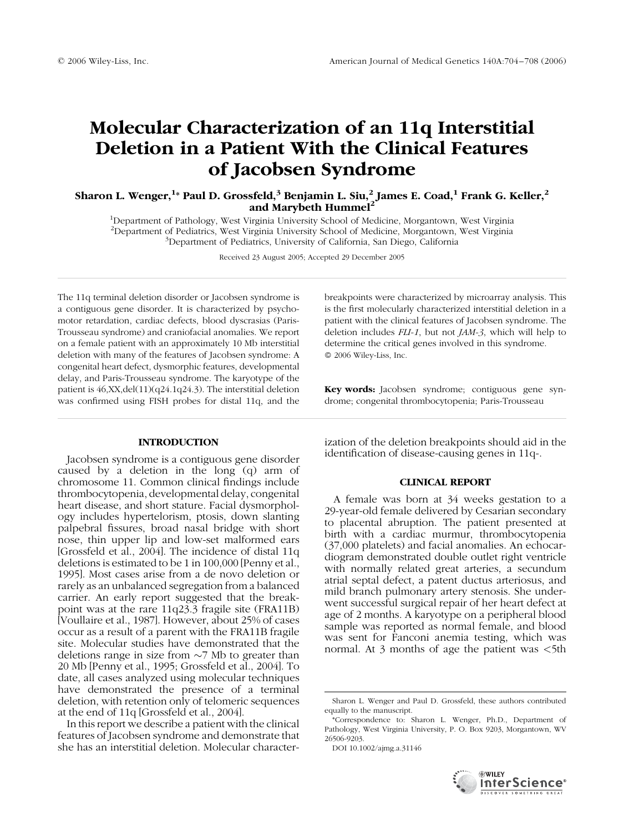# Molecular Characterization of an 11q Interstitial Deletion in a Patient With the Clinical Features of Jacobsen Syndrome

Sharon L. Wenger, $^{1_\ast}$  Paul D. Grossfeld, $^3$  Benjamin L. Siu, $^2$  James E. Coad, $^1$  Frank G. Keller, $^2$ and Marybeth Hummel<sup>2</sup>

<sup>1</sup>Department of Pathology, West Virginia University School of Medicine, Morgantown, West Virginia <sup>2</sup> Department of Pediatrics, West Virginia University School of Medicine, Morgantown, West Virginia <sup>3</sup> Department of Pediatrics, University of California San Diggo, California <sup>3</sup>Department of Pediatrics, University of California, San Diego, California

Received 23 August 2005; Accepted 29 December 2005

The 11q terminal deletion disorder or Jacobsen syndrome is a contiguous gene disorder. It is characterized by psychomotor retardation, cardiac defects, blood dyscrasias (Paris-Trousseau syndrome) and craniofacial anomalies. We report on a female patient with an approximately 10 Mb interstitial deletion with many of the features of Jacobsen syndrome: A congenital heart defect, dysmorphic features, developmental delay, and Paris-Trousseau syndrome. The karyotype of the patient is 46,XX,del(11)(q24.1q24.3). The interstitial deletion was confirmed using FISH probes for distal 11q, and the

# **INTRODUCTION**

Jacobsen syndrome is a contiguous gene disorder caused by a deletion in the long (q) arm of chromosome 11. Common clinical findings include thrombocytopenia, developmental delay, congenital heart disease, and short stature. Facial dysmorphology includes hypertelorism, ptosis, down slanting palpebral fissures, broad nasal bridge with short nose, thin upper lip and low-set malformed ears [Grossfeld et al., 2004]. The incidence of distal 11q deletions is estimated to be 1 in 100,000 [Penny et al., 1995]. Most cases arise from a de novo deletion or rarely as an unbalanced segregation from a balanced carrier. An early report suggested that the breakpoint was at the rare 11q23.3 fragile site (FRA11B) [Voullaire et al., 1987]. However, about 25% of cases occur as a result of a parent with the FRA11B fragile site. Molecular studies have demonstrated that the deletions range in size from  $\sim$ 7 Mb to greater than 20 Mb [Penny et al., 1995; Grossfeld et al., 2004]. To date, all cases analyzed using molecular techniques have demonstrated the presence of a terminal deletion, with retention only of telomeric sequences at the end of 11q [Grossfeld et al., 2004].

In this report we describe a patient with the clinical features of Jacobsen syndrome and demonstrate that she has an interstitial deletion. Molecular characterbreakpoints were characterized by microarray analysis. This is the first molecularly characterized interstitial deletion in a patient with the clinical features of Jacobsen syndrome. The deletion includes FLI-1, but not JAM-3, which will help to determine the critical genes involved in this syndrome. 2006 Wiley-Liss, Inc.

Key words: Jacobsen syndrome; contiguous gene syndrome; congenital thrombocytopenia; Paris-Trousseau

ization of the deletion breakpoints should aid in the identification of disease-causing genes in 11q-.

# CLINICAL REPORT

A female was born at 34 weeks gestation to a 29-year-old female delivered by Cesarian secondary to placental abruption. The patient presented at birth with a cardiac murmur, thrombocytopenia (37,000 platelets) and facial anomalies. An echocardiogram demonstrated double outlet right ventricle with normally related great arteries, a secundum atrial septal defect, a patent ductus arteriosus, and mild branch pulmonary artery stenosis. She underwent successful surgical repair of her heart defect at age of 2 months. A karyotype on a peripheral blood sample was reported as normal female, and blood was sent for Fanconi anemia testing, which was normal. At 3 months of age the patient was  $\lt$ 5th

DOI 10.1002/ajmg.a.31146



Sharon L. Wenger and Paul D. Grossfeld, these authors contributed equally to the manuscript.

<sup>\*</sup>Correspondence to: Sharon L. Wenger, Ph.D., Department of Pathology, West Virginia University, P. O. Box 9203, Morgantown, WV 26506-9203.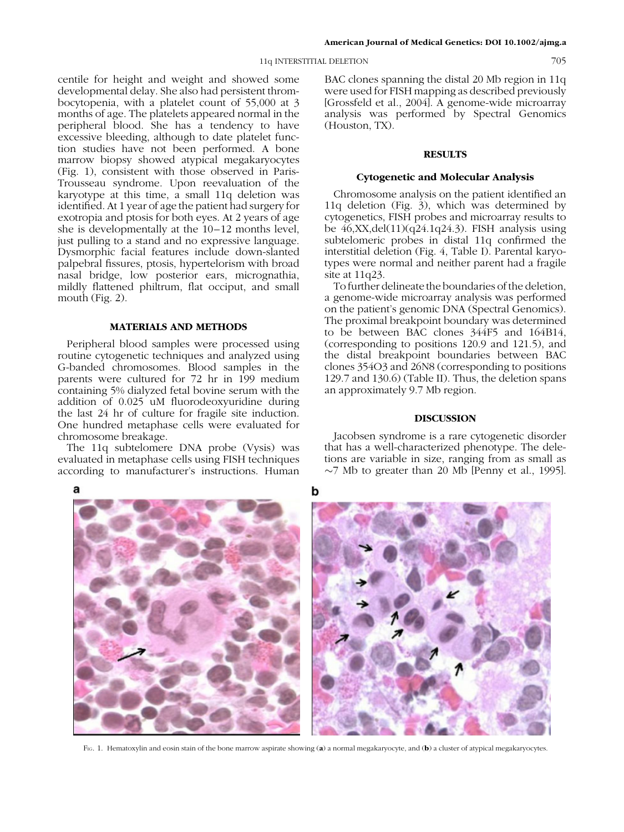### 11q INTERSTITIAL DELETION 705

centile for height and weight and showed some developmental delay. She also had persistent thrombocytopenia, with a platelet count of 55,000 at 3 months of age. The platelets appeared normal in the peripheral blood. She has a tendency to have excessive bleeding, although to date platelet function studies have not been performed. A bone marrow biopsy showed atypical megakaryocytes (Fig. 1), consistent with those observed in Paris-Trousseau syndrome. Upon reevaluation of the karyotype at this time, a small 11q deletion was identified. At 1 year of age the patient had surgery for exotropia and ptosis for both eyes. At 2 years of age she is developmentally at the 10–12 months level, just pulling to a stand and no expressive language. Dysmorphic facial features include down-slanted palpebral fissures, ptosis, hypertelorism with broad nasal bridge, low posterior ears, micrognathia, mildly flattened philtrum, flat occiput, and small mouth (Fig. 2).

# MATERIALS AND METHODS

Peripheral blood samples were processed using routine cytogenetic techniques and analyzed using G-banded chromosomes. Blood samples in the parents were cultured for 72 hr in 199 medium containing 5% dialyzed fetal bovine serum with the addition of 0.025 uM fluorodeoxyuridine during the last 24 hr of culture for fragile site induction. One hundred metaphase cells were evaluated for chromosome breakage.

The 11q subtelomere DNA probe (Vysis) was evaluated in metaphase cells using FISH techniques according to manufacturer's instructions. Human BAC clones spanning the distal 20 Mb region in 11q were used for FISH mapping as described previously [Grossfeld et al., 2004]. A genome-wide microarray analysis was performed by Spectral Genomics (Houston, TX).

# **RESULTS**

### Cytogenetic and Molecular Analysis

Chromosome analysis on the patient identified an 11q deletion (Fig. 3), which was determined by cytogenetics, FISH probes and microarray results to be  $46, XX, del(11)(q24.1q24.3)$ . FISH analysis using subtelomeric probes in distal 11q confirmed the interstitial deletion (Fig. 4, Table I). Parental karyotypes were normal and neither parent had a fragile site at 11q23.

To further delineate the boundaries of the deletion, a genome-wide microarray analysis was performed on the patient's genomic DNA (Spectral Genomics). The proximal breakpoint boundary was determined to be between BAC clones 344F5 and 164B14, (corresponding to positions 120.9 and 121.5), and the distal breakpoint boundaries between BAC clones 354O3 and 26N8 (corresponding to positions 129.7 and 130.6) (Table II). Thus, the deletion spans an approximately 9.7 Mb region.

# DISCUSSION

Jacobsen syndrome is a rare cytogenetic disorder that has a well-characterized phenotype. The deletions are variable in size, ranging from as small as  $\sim$ 7 Mb to greater than 20 Mb [Penny et al., 1995].



FIG. 1. Hematoxylin and eosin stain of the bone marrow aspirate showing (a) a normal megakaryocyte, and (b) a cluster of atypical megakaryocytes.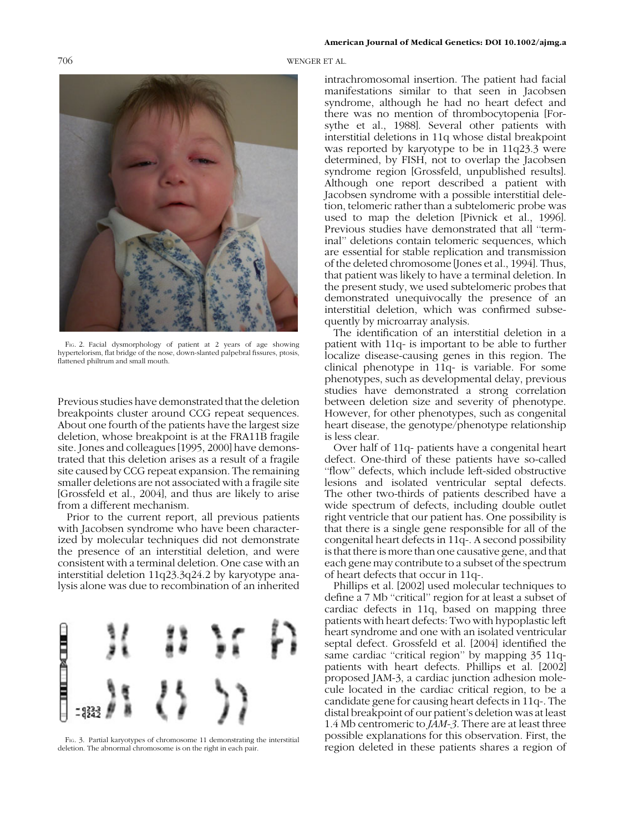706 WENGER ET AL.



F<sub>IG</sub>. 2. Facial dysmorphology of patient at 2 years of age showing hypertelorism, flat bridge of the nose, down-slanted palpebral fissures, ptosis, flattened philtrum and small mouth.

Previous studies have demonstrated that the deletion breakpoints cluster around CCG repeat sequences. About one fourth of the patients have the largest size deletion, whose breakpoint is at the FRA11B fragile site. Jones and colleagues [1995, 2000] have demonstrated that this deletion arises as a result of a fragile site caused by CCG repeat expansion. The remaining smaller deletions are not associated with a fragile site [Grossfeld et al., 2004], and thus are likely to arise from a different mechanism.

Prior to the current report, all previous patients with Jacobsen syndrome who have been characterized by molecular techniques did not demonstrate the presence of an interstitial deletion, and were consistent with a terminal deletion. One case with an interstitial deletion 11q23.3q24.2 by karyotype analysis alone was due to recombination of an inherited



FIG. 3. Partial karyotypes of chromosome 11 demonstrating the interstitial deletion. The abnormal chromosome is on the right in each pair.

intrachromosomal insertion. The patient had facial manifestations similar to that seen in Jacobsen syndrome, although he had no heart defect and there was no mention of thrombocytopenia [Forsythe et al., 1988]. Several other patients with interstitial deletions in 11q whose distal breakpoint was reported by karyotype to be in 11q23.3 were determined, by FISH, not to overlap the Jacobsen syndrome region [Grossfeld, unpublished results]. Although one report described a patient with Jacobsen syndrome with a possible interstitial deletion, telomeric rather than a subtelomeric probe was used to map the deletion [Pivnick et al., 1996]. Previous studies have demonstrated that all ''terminal'' deletions contain telomeric sequences, which are essential for stable replication and transmission of the deleted chromosome [Jones et al., 1994]. Thus, that patient was likely to have a terminal deletion. In the present study, we used subtelomeric probes that demonstrated unequivocally the presence of an interstitial deletion, which was confirmed subsequently by microarray analysis.

The identification of an interstitial deletion in a patient with 11q- is important to be able to further localize disease-causing genes in this region. The clinical phenotype in 11q- is variable. For some phenotypes, such as developmental delay, previous studies have demonstrated a strong correlation between deletion size and severity of phenotype. However, for other phenotypes, such as congenital heart disease, the genotype/phenotype relationship is less clear.

Over half of 11q- patients have a congenital heart defect. One-third of these patients have so-called ''flow'' defects, which include left-sided obstructive lesions and isolated ventricular septal defects. The other two-thirds of patients described have a wide spectrum of defects, including double outlet right ventricle that our patient has. One possibility is that there is a single gene responsible for all of the congenital heart defects in 11q-. A second possibility is that there is more than one causative gene, and that each gene may contribute to a subset of the spectrum of heart defects that occur in 11q-.

Phillips et al. [2002] used molecular techniques to define a 7 Mb ''critical'' region for at least a subset of cardiac defects in 11q, based on mapping three patients with heart defects: Two with hypoplastic left heart syndrome and one with an isolated ventricular septal defect. Grossfeld et al. [2004] identified the same cardiac "critical region" by mapping 35 11qpatients with heart defects. Phillips et al. [2002] proposed JAM-3, a cardiac junction adhesion molecule located in the cardiac critical region, to be a candidate gene for causing heart defects in 11q-. The distal breakpoint of our patient's deletion was at least 1.4 Mb centromeric to JAM-3. There are at least three possible explanations for this observation. First, the region deleted in these patients shares a region of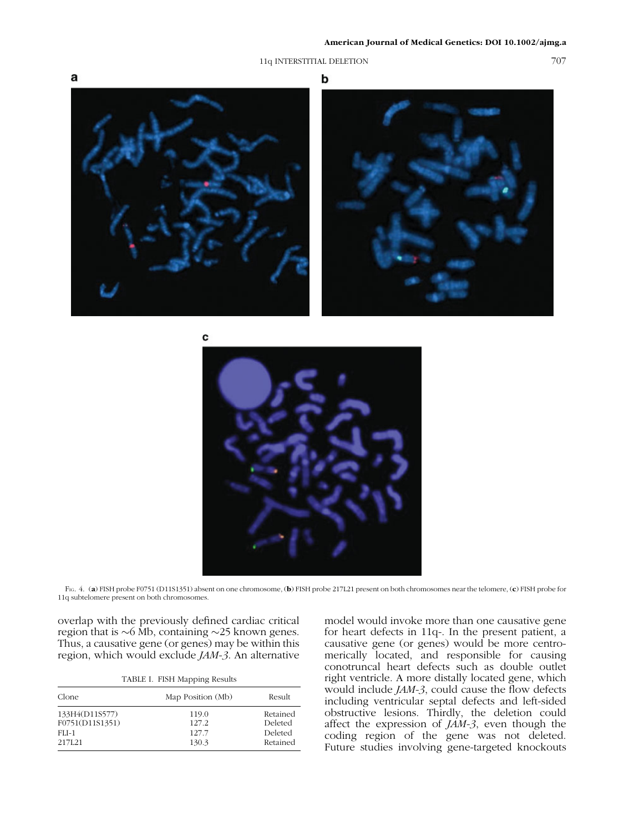# 11q INTERSTITIAL DELETION 707







FIG. 4. (a) FISH probe F0751 (D11S1351) absent on one chromosome, (b) FISH probe 217L21 present on both chromosomes near the telomere, (c) FISH probe for 11q subtelomere present on both chromosomes.

overlap with the previously defined cardiac critical region that is  $\sim$ 6 Mb, containing  $\sim$ 25 known genes. Thus, a causative gene (or genes) may be within this region, which would exclude JAM-3. An alternative

| TABLE I. FISH Mapping Results |  |  |  |
|-------------------------------|--|--|--|
|-------------------------------|--|--|--|

| Clone           | Map Position (Mb) | Result   |
|-----------------|-------------------|----------|
| 133H4(D11S577)  | 119.0             | Retained |
| F0751(D11S1351) | 127.2             | Deleted  |
| FLI-1           | 127.7             | Deleted  |
| 217L21          | 130.3             | Retained |

model would invoke more than one causative gene for heart defects in 11q-. In the present patient, a causative gene (or genes) would be more centromerically located, and responsible for causing conotruncal heart defects such as double outlet right ventricle. A more distally located gene, which would include JAM-3, could cause the flow defects including ventricular septal defects and left-sided obstructive lesions. Thirdly, the deletion could affect the expression of JAM-3, even though the coding region of the gene was not deleted. Future studies involving gene-targeted knockouts